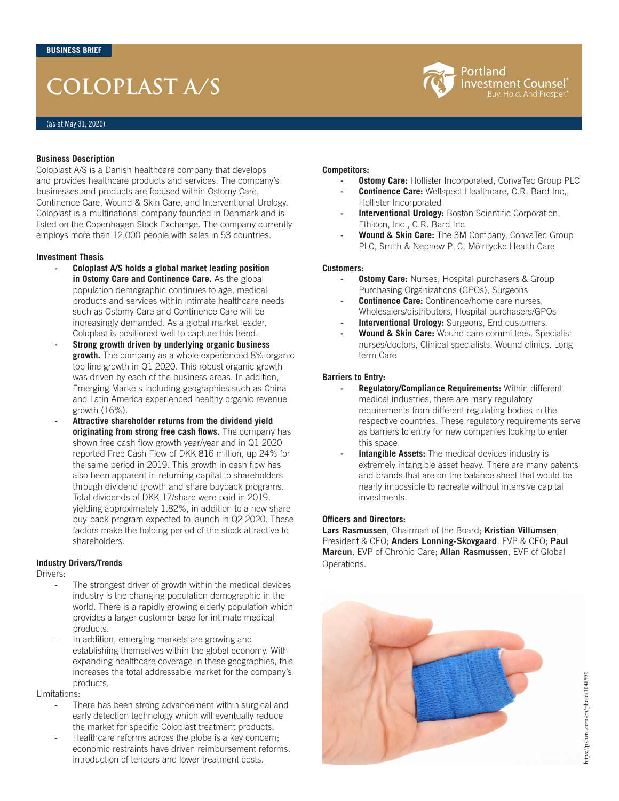# **COLOPLAST A/S**



Coloplast A/S is a Danish healthcare company that develops and provides healthcare products and services. The company's businesses and products are focused within Ostomy Care, Continence Care, Wound & Skin Care, and Interventional Urology. Coloplast is a multinational company founded in Denmark and is listed on the Copenhagen Stock Exchange. The company currently employs more than 12,000 people with sales in 53 countries.

#### **Investment Thesis**

- **- Coloplast A/S holds a global market leading position in Ostomy Care and Continence Care.** As the global population demographic continues to age, medical products and services within intimate healthcare needs such as Ostomy Care and Continence Care will be increasingly demanded. As a global market leader, Coloplast is positioned well to capture this trend.
- **- Strong growth driven by underlying organic business growth.** The company as a whole experienced 8% organic top line growth in Q1 2020. This robust organic growth was driven by each of the business areas. In addition, Emerging Markets including geographies such as China and Latin America experienced healthy organic revenue growth (16%).
- **- Attractive shareholder returns from the dividend yield originating from strong free cash flows.** The company has shown free cash flow growth year/year and in Q1 2020 reported Free Cash Flow of DKK 816 million, up 24% for the same period in 2019. This growth in cash flow has also been apparent in returning capital to shareholders through dividend growth and share buyback programs. Total dividends of DKK 17/share were paid in 2019, yielding approximately 1.82%, in addition to a new share buy-back program expected to launch in Q2 2020. These factors make the holding period of the stock attractive to shareholders.

#### **Industry Drivers/Trends**

Drivers:

- The strongest driver of growth within the medical devices industry is the changing population demographic in the world. There is a rapidly growing elderly population which provides a larger customer base for intimate medical products.
- In addition, emerging markets are growing and establishing themselves within the global economy. With expanding healthcare coverage in these geographies, this increases the total addressable market for the company's products.

Limitations:

- There has been strong advancement within surgical and early detection technology which will eventually reduce the market for specific Coloplast treatment products.
- Healthcare reforms across the globe is a key concern; economic restraints have driven reimbursement reforms, introduction of tenders and lower treatment costs.

#### **Competitors:**

**Ostomy Care:** Hollister Incorporated, ConvaTec Group PLC

Portland

Investment Counsel Buy. Hold. And Prosper

- **- Continence Care:** Wellspect Healthcare, C.R. Bard Inc,, Hollister Incorporated
- **Interventional Urology: Boston Scientific Corporation,** Ethicon, Inc., C.R. Bard Inc.
- **- Wound & Skin Care:** The 3M Company, ConvaTec Group PLC, Smith & Nephew PLC, Mölnlycke Health Care

#### **Customers:**

- **Ostomy Care:** Nurses, Hospital purchasers & Group Purchasing Organizations (GPOs), Surgeons
- **Continence Care:** Continence/home care nurses, Wholesalers/distributors, Hospital purchasers/GPOs
- **Interventional Urology:** Surgeons, End customers.
- **- Wound & Skin Care:** Wound care committees, Specialist nurses/doctors, Clinical specialists, Wound clinics, Long term Care

#### **Barriers to Entry:**

- **- Regulatory/Compliance Requirements:** Within different medical industries, there are many regulatory requirements from different regulating bodies in the respective countries. These regulatory requirements serve as barriers to entry for new companies looking to enter this space.
- **Intangible Assets:** The medical devices industry is extremely intangible asset heavy. There are many patents and brands that are on the balance sheet that would be nearly impossible to recreate without intensive capital investments.

#### **Officers and Directors:**

**Lars Rasmussen**, Chairman of the Board; **Kristian Villumsen**, President & CEO; **Anders Lonning-Skovgaard**, EVP & CFO; **Paul Marcun**, EVP of Chronic Care; **Allan Rasmussen**, EVP of Global Operations.

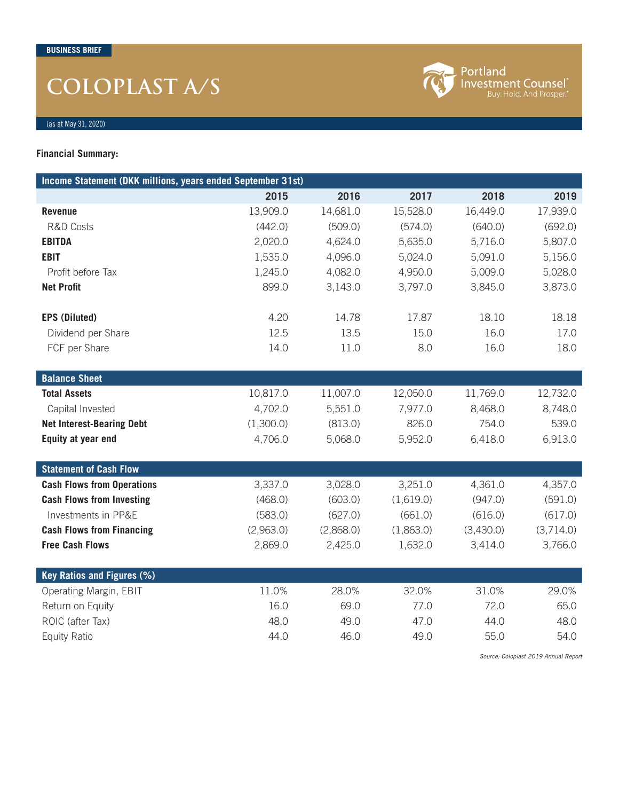# **COLOPLAST A/S**



Portland<br>Investment Counsel<sup>®</sup><br>Buy. Hold. And Prosper.<sup>®</sup>

(as at May 31, 2020)

### **Financial Summary:**

| Income Statement (DKK millions, years ended September 31st) |           |           |           |           |           |
|-------------------------------------------------------------|-----------|-----------|-----------|-----------|-----------|
|                                                             | 2015      | 2016      | 2017      | 2018      | 2019      |
| <b>Revenue</b>                                              | 13,909.0  | 14,681.0  | 15,528.0  | 16,449.0  | 17,939.0  |
| <b>R&amp;D Costs</b>                                        | (442.0)   | (509.0)   | (574.0)   | (640.0)   | (692.0)   |
| <b>EBITDA</b>                                               | 2,020.0   | 4,624.0   | 5,635.0   | 5,716.0   | 5,807.0   |
| <b>EBIT</b>                                                 | 1,535.0   | 4,096.0   | 5,024.0   | 5,091.0   | 5,156.0   |
| Profit before Tax                                           | 1,245.0   | 4,082.0   | 4,950.0   | 5,009.0   | 5,028.0   |
| <b>Net Profit</b>                                           | 899.0     | 3,143.0   | 3,797.0   | 3,845.0   | 3,873.0   |
| <b>EPS (Diluted)</b>                                        | 4.20      | 14.78     | 17.87     | 18.10     | 18.18     |
| Dividend per Share                                          | 12.5      | 13.5      | 15.0      | 16.0      | 17.0      |
| FCF per Share                                               | 14.0      | 11.0      | 8.0       | 16.0      | 18.0      |
|                                                             |           |           |           |           |           |
| <b>Balance Sheet</b>                                        |           |           |           |           |           |
| <b>Total Assets</b>                                         | 10,817.0  | 11,007.0  | 12,050.0  | 11,769.0  | 12,732.0  |
| Capital Invested                                            | 4,702.0   | 5,551.0   | 7,977.0   | 8,468.0   | 8,748.0   |
| <b>Net Interest-Bearing Debt</b>                            | (1,300.0) | (813.0)   | 826.0     | 754.0     | 539.0     |
| Equity at year end                                          | 4,706.0   | 5,068.0   | 5,952.0   | 6,418.0   | 6,913.0   |
|                                                             |           |           |           |           |           |
| <b>Statement of Cash Flow</b>                               |           |           |           |           |           |
| <b>Cash Flows from Operations</b>                           | 3,337.0   | 3,028.0   | 3,251.0   | 4,361.0   | 4,357.0   |
| <b>Cash Flows from Investing</b>                            | (468.0)   | (603.0)   | (1,619.0) | (947.0)   | (591.0)   |
| Investments in PP&E                                         | (583.0)   | (627.0)   | (661.0)   | (616.0)   | (617.0)   |
| <b>Cash Flows from Financing</b>                            | (2,963.0) | (2,868.0) | (1,863.0) | (3,430.0) | (3,714.0) |
| <b>Free Cash Flows</b>                                      | 2,869.0   | 2,425.0   | 1,632.0   | 3,414.0   | 3,766.0   |
| Key Ratios and Figures (%)                                  |           |           |           |           |           |
| Operating Margin, EBIT                                      | 11.0%     | 28.0%     | 32.0%     | 31.0%     | 29.0%     |
| Return on Equity                                            | 16.0      | 69.0      | 77.0      | 72.0      | 65.0      |
| ROIC (after Tax)                                            | 48.0      | 49.0      | 47.0      | 44.0      | 48.0      |
| Equity Ratio                                                | 44.0      | 46.0      | 49.0      | 55.0      | 54.0      |
|                                                             |           |           |           |           |           |

*Source: Coloplast 2019 Annual Report*